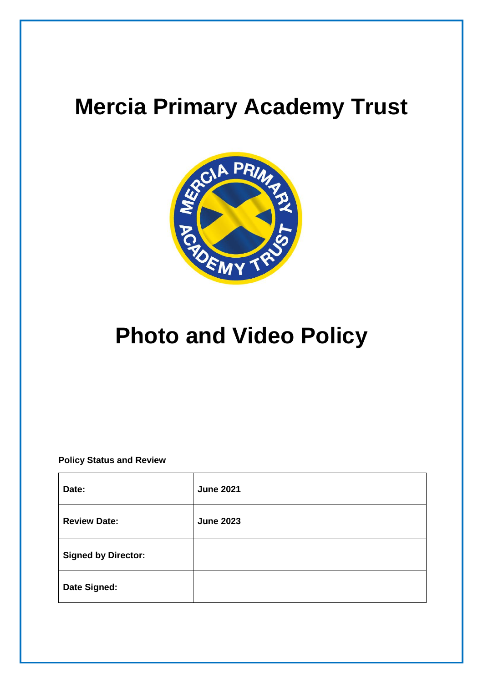# **Mercia Primary Academy Trust**



# **Photo and Video Policy**

**Policy Status and Review**

| Date:                      | <b>June 2021</b> |
|----------------------------|------------------|
| <b>Review Date:</b>        | <b>June 2023</b> |
| <b>Signed by Director:</b> |                  |
| Date Signed:               |                  |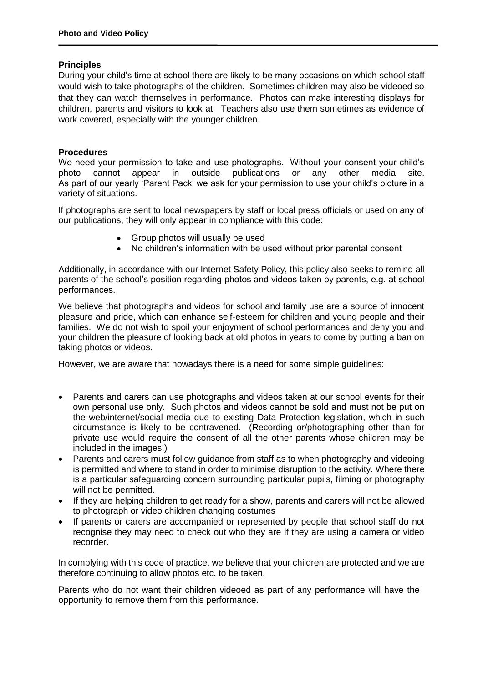#### **Principles**

During your child's time at school there are likely to be many occasions on which school staff would wish to take photographs of the children. Sometimes children may also be videoed so that they can watch themselves in performance. Photos can make interesting displays for children, parents and visitors to look at. Teachers also use them sometimes as evidence of work covered, especially with the younger children.

#### **Procedures**

We need your permission to take and use photographs. Without your consent your child's photo cannot appear in outside publications or any other media site. As part of our yearly 'Parent Pack' we ask for your permission to use your child's picture in a variety of situations.

If photographs are sent to local newspapers by staff or local press officials or used on any of our publications, they will only appear in compliance with this code:

- Group photos will usually be used
- No children's information with be used without prior parental consent

Additionally, in accordance with our Internet Safety Policy, this policy also seeks to remind all parents of the school's position regarding photos and videos taken by parents, e.g. at school performances.

We believe that photographs and videos for school and family use are a source of innocent pleasure and pride, which can enhance self-esteem for children and young people and their families. We do not wish to spoil your enjoyment of school performances and deny you and your children the pleasure of looking back at old photos in years to come by putting a ban on taking photos or videos.

However, we are aware that nowadays there is a need for some simple guidelines:

- Parents and carers can use photographs and videos taken at our school events for their own personal use only. Such photos and videos cannot be sold and must not be put on the web/internet/social media due to existing Data Protection legislation, which in such circumstance is likely to be contravened. (Recording or/photographing other than for private use would require the consent of all the other parents whose children may be included in the images.)
- Parents and carers must follow quidance from staff as to when photography and videoing is permitted and where to stand in order to minimise disruption to the activity. Where there is a particular safeguarding concern surrounding particular pupils, filming or photography will not be permitted.
- If they are helping children to get ready for a show, parents and carers will not be allowed to photograph or video children changing costumes
- If parents or carers are accompanied or represented by people that school staff do not recognise they may need to check out who they are if they are using a camera or video recorder.

In complying with this code of practice, we believe that your children are protected and we are therefore continuing to allow photos etc. to be taken.

Parents who do not want their children videoed as part of any performance will have the opportunity to remove them from this performance.